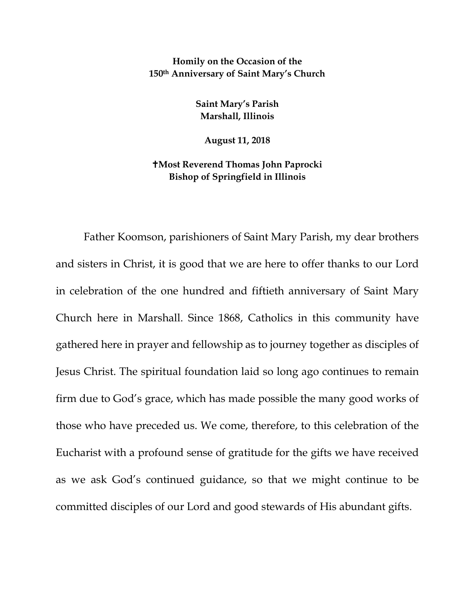**Homily on the Occasion of the 150th Anniversary of Saint Mary's Church**

> **Saint Mary's Parish Marshall, Illinois**

> > **August 11, 2018**

**Most Reverend Thomas John Paprocki Bishop of Springfield in Illinois**

Father Koomson, parishioners of Saint Mary Parish, my dear brothers and sisters in Christ, it is good that we are here to offer thanks to our Lord in celebration of the one hundred and fiftieth anniversary of Saint Mary Church here in Marshall. Since 1868, Catholics in this community have gathered here in prayer and fellowship as to journey together as disciples of Jesus Christ. The spiritual foundation laid so long ago continues to remain firm due to God's grace, which has made possible the many good works of those who have preceded us. We come, therefore, to this celebration of the Eucharist with a profound sense of gratitude for the gifts we have received as we ask God's continued guidance, so that we might continue to be committed disciples of our Lord and good stewards of His abundant gifts.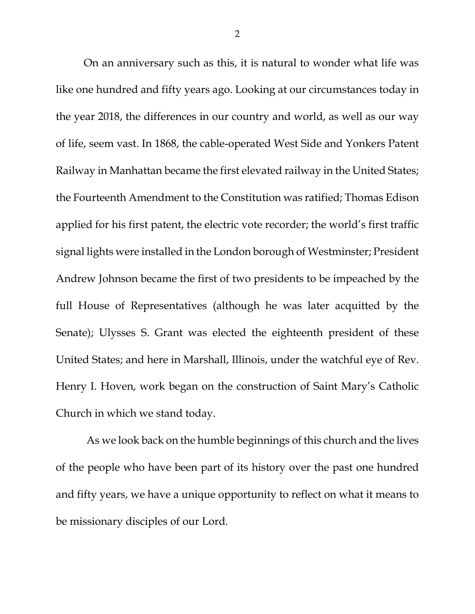On an anniversary such as this, it is natural to wonder what life was like one hundred and fifty years ago. Looking at our circumstances today in the year 2018, the differences in our country and world, as well as our way of life, seem vast. In 1868, the cable-operated West Side and Yonkers Patent Railway in Manhattan became the first elevated railway in the United States; the Fourteenth Amendment to the Constitution was ratified; Thomas Edison applied for his first patent, the electric vote recorder; the world's first traffic signal lights were installed in the London borough of Westminster; President Andrew Johnson became the first of two presidents to be impeached by the full House of Representatives (although he was later acquitted by the Senate); Ulysses S. Grant was elected the eighteenth president of these United States; and here in Marshall, Illinois, under the watchful eye of Rev. Henry I. Hoven, work began on the construction of Saint Mary's Catholic Church in which we stand today.

As we look back on the humble beginnings of this church and the lives of the people who have been part of its history over the past one hundred and fifty years, we have a unique opportunity to reflect on what it means to be missionary disciples of our Lord.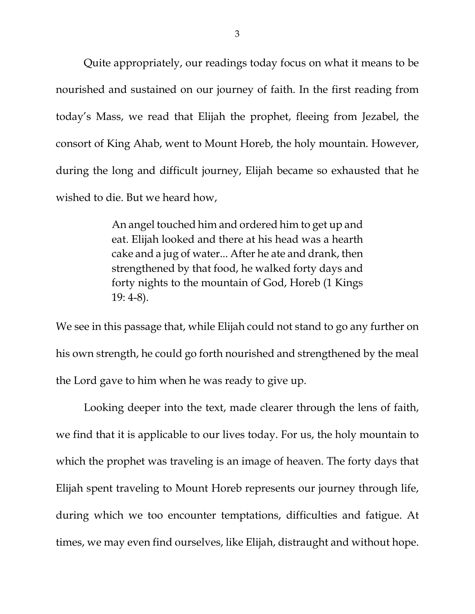Quite appropriately, our readings today focus on what it means to be nourished and sustained on our journey of faith. In the first reading from today's Mass, we read that Elijah the prophet, fleeing from Jezabel, the consort of King Ahab, went to Mount Horeb, the holy mountain. However, during the long and difficult journey, Elijah became so exhausted that he wished to die. But we heard how,

> An angel touched him and ordered him to get up and eat. Elijah looked and there at his head was a hearth cake and a jug of water... After he ate and drank, then strengthened by that food, he walked forty days and forty nights to the mountain of God, Horeb (1 Kings 19: 4-8).

We see in this passage that, while Elijah could not stand to go any further on his own strength, he could go forth nourished and strengthened by the meal the Lord gave to him when he was ready to give up.

Looking deeper into the text, made clearer through the lens of faith, we find that it is applicable to our lives today. For us, the holy mountain to which the prophet was traveling is an image of heaven. The forty days that Elijah spent traveling to Mount Horeb represents our journey through life, during which we too encounter temptations, difficulties and fatigue. At times, we may even find ourselves, like Elijah, distraught and without hope.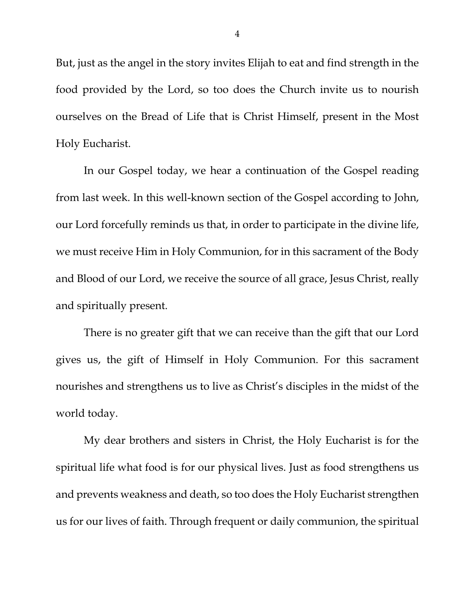But, just as the angel in the story invites Elijah to eat and find strength in the food provided by the Lord, so too does the Church invite us to nourish ourselves on the Bread of Life that is Christ Himself, present in the Most Holy Eucharist.

In our Gospel today, we hear a continuation of the Gospel reading from last week. In this well-known section of the Gospel according to John, our Lord forcefully reminds us that, in order to participate in the divine life, we must receive Him in Holy Communion, for in this sacrament of the Body and Blood of our Lord, we receive the source of all grace, Jesus Christ, really and spiritually present.

There is no greater gift that we can receive than the gift that our Lord gives us, the gift of Himself in Holy Communion. For this sacrament nourishes and strengthens us to live as Christ's disciples in the midst of the world today.

My dear brothers and sisters in Christ, the Holy Eucharist is for the spiritual life what food is for our physical lives. Just as food strengthens us and prevents weakness and death, so too does the Holy Eucharist strengthen us for our lives of faith. Through frequent or daily communion, the spiritual